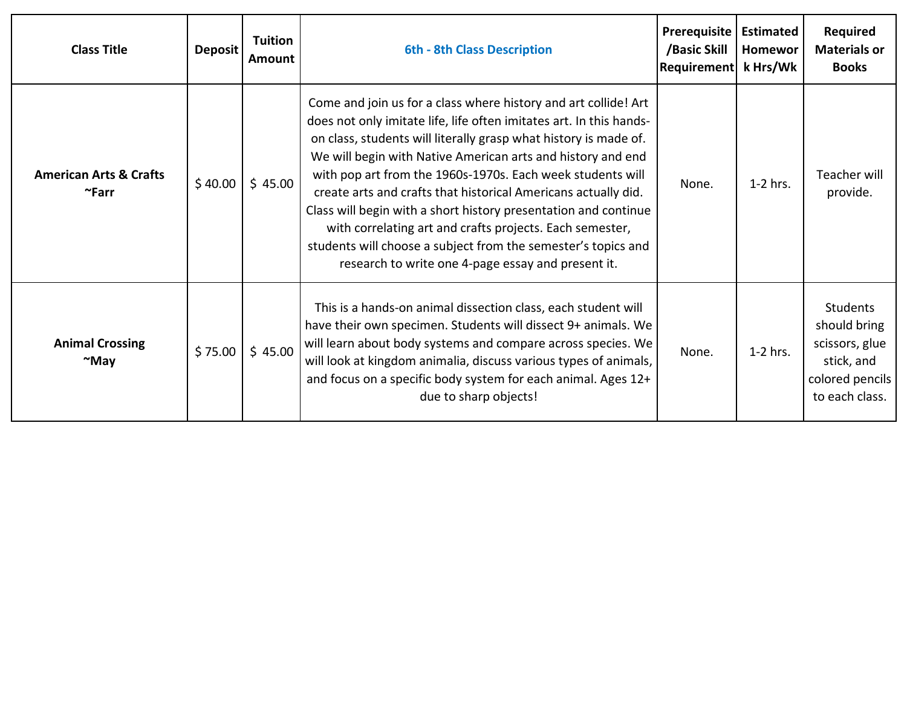| <b>Class Title</b>                               | <b>Deposit</b> | <b>Tuition</b><br><b>Amount</b> | <b>6th - 8th Class Description</b>                                                                                                                                                                                                                                                                                                                                                                                                                                                                                                                                                                                                                              | Prerequisite<br>/Basic Skill<br>Requirement   k Hrs/Wk | <b>Estimated</b><br>Homewor | <b>Required</b><br><b>Materials or</b><br><b>Books</b>                                               |
|--------------------------------------------------|----------------|---------------------------------|-----------------------------------------------------------------------------------------------------------------------------------------------------------------------------------------------------------------------------------------------------------------------------------------------------------------------------------------------------------------------------------------------------------------------------------------------------------------------------------------------------------------------------------------------------------------------------------------------------------------------------------------------------------------|--------------------------------------------------------|-----------------------------|------------------------------------------------------------------------------------------------------|
| <b>American Arts &amp; Crafts</b><br>$\sim$ Farr | \$40.00        | \$45.00                         | Come and join us for a class where history and art collide! Art<br>does not only imitate life, life often imitates art. In this hands-<br>on class, students will literally grasp what history is made of.<br>We will begin with Native American arts and history and end<br>with pop art from the 1960s-1970s. Each week students will<br>create arts and crafts that historical Americans actually did.<br>Class will begin with a short history presentation and continue<br>with correlating art and crafts projects. Each semester,<br>students will choose a subject from the semester's topics and<br>research to write one 4-page essay and present it. | None.                                                  | $1-2$ hrs.                  | <b>Teacher will</b><br>provide.                                                                      |
| <b>Animal Crossing</b><br>$~\sim$ May            | \$75.00        | \$45.00                         | This is a hands-on animal dissection class, each student will<br>have their own specimen. Students will dissect 9+ animals. We<br>will learn about body systems and compare across species. We<br>will look at kingdom animalia, discuss various types of animals,<br>and focus on a specific body system for each animal. Ages 12+<br>due to sharp objects!                                                                                                                                                                                                                                                                                                    | None.                                                  | $1-2$ hrs.                  | <b>Students</b><br>should bring<br>scissors, glue<br>stick, and<br>colored pencils<br>to each class. |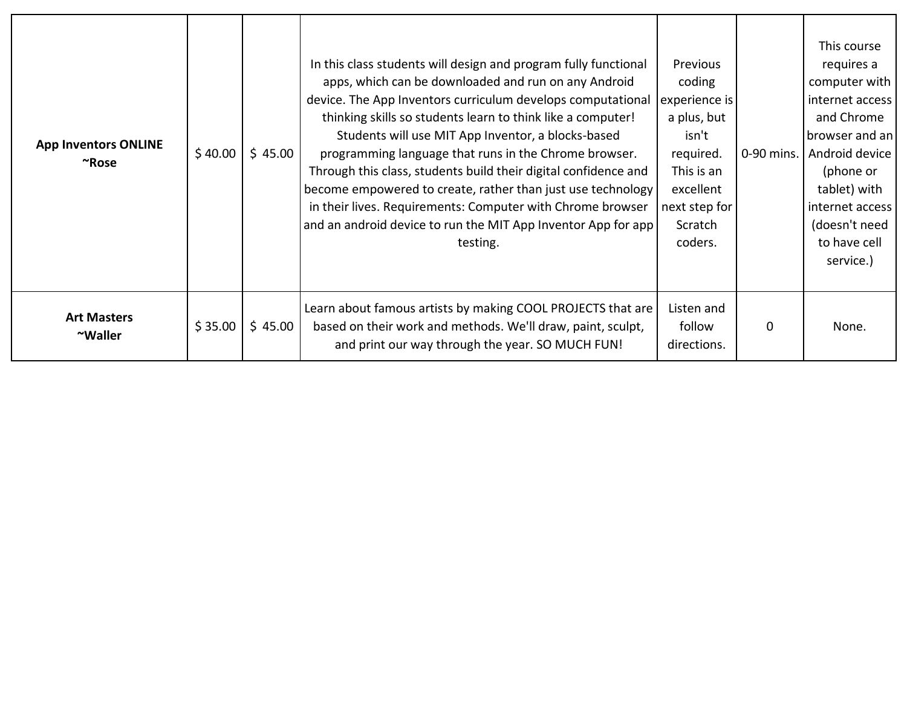| <b>App Inventors ONLINE</b><br>$~\tilde{}$ Rose | \$40.00 | \$45.00 | In this class students will design and program fully functional<br>apps, which can be downloaded and run on any Android<br>device. The App Inventors curriculum develops computational<br>thinking skills so students learn to think like a computer!<br>Students will use MIT App Inventor, a blocks-based<br>programming language that runs in the Chrome browser.<br>Through this class, students build their digital confidence and<br>become empowered to create, rather than just use technology<br>in their lives. Requirements: Computer with Chrome browser<br>and an android device to run the MIT App Inventor App for app<br>testing. | Previous<br>coding<br>experience is<br>a plus, but<br>isn't<br>required.<br>This is an<br>excellent<br>next step for<br>Scratch<br>coders. | 0-90 mins. | This course<br>requires a<br>computer with<br>internet access<br>and Chrome<br>browser and an<br>Android device<br>(phone or<br>tablet) with<br>internet access<br>(doesn't need<br>to have cell<br>service.) |
|-------------------------------------------------|---------|---------|---------------------------------------------------------------------------------------------------------------------------------------------------------------------------------------------------------------------------------------------------------------------------------------------------------------------------------------------------------------------------------------------------------------------------------------------------------------------------------------------------------------------------------------------------------------------------------------------------------------------------------------------------|--------------------------------------------------------------------------------------------------------------------------------------------|------------|---------------------------------------------------------------------------------------------------------------------------------------------------------------------------------------------------------------|
| <b>Art Masters</b><br>~Waller                   | \$35.00 | \$45.00 | Learn about famous artists by making COOL PROJECTS that are<br>based on their work and methods. We'll draw, paint, sculpt,<br>and print our way through the year. SO MUCH FUN!                                                                                                                                                                                                                                                                                                                                                                                                                                                                    | Listen and<br>follow<br>directions.                                                                                                        | 0          | None.                                                                                                                                                                                                         |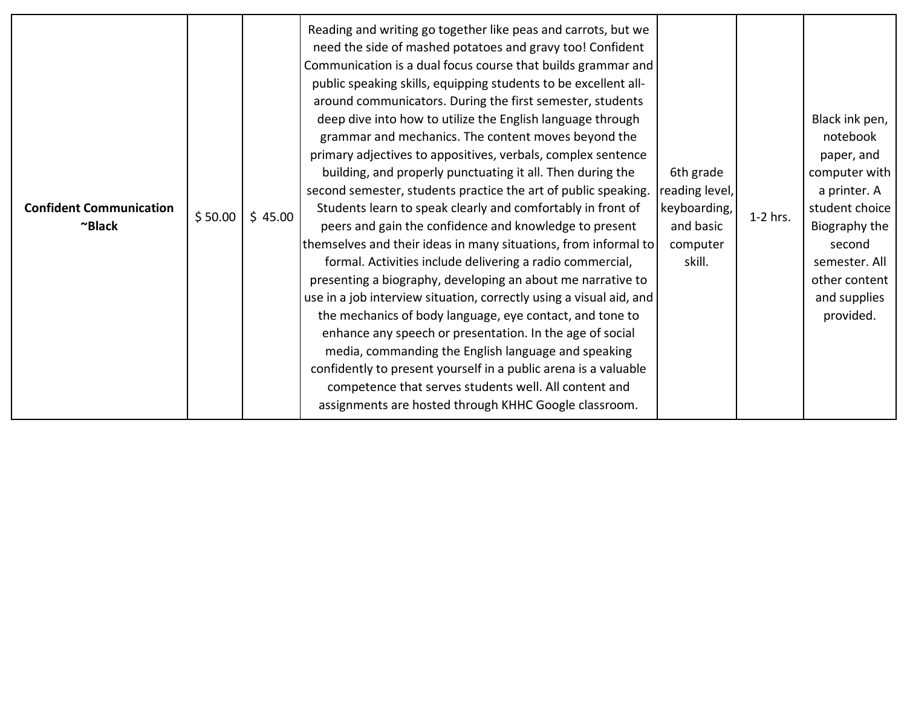| <b>Confident Communication</b><br>~Black | \$50.00 | \$45.00 | Reading and writing go together like peas and carrots, but we<br>need the side of mashed potatoes and gravy too! Confident<br>Communication is a dual focus course that builds grammar and<br>public speaking skills, equipping students to be excellent all-<br>around communicators. During the first semester, students<br>deep dive into how to utilize the English language through<br>grammar and mechanics. The content moves beyond the<br>primary adjectives to appositives, verbals, complex sentence<br>building, and properly punctuating it all. Then during the<br>second semester, students practice the art of public speaking.<br>Students learn to speak clearly and comfortably in front of<br>peers and gain the confidence and knowledge to present<br>themselves and their ideas in many situations, from informal to<br>formal. Activities include delivering a radio commercial,<br>presenting a biography, developing an about me narrative to<br>use in a job interview situation, correctly using a visual aid, and<br>the mechanics of body language, eye contact, and tone to<br>enhance any speech or presentation. In the age of social<br>media, commanding the English language and speaking<br>confidently to present yourself in a public arena is a valuable<br>competence that serves students well. All content and<br>assignments are hosted through KHHC Google classroom. | 6th grade<br>reading level,<br>keyboarding,<br>and basic<br>computer<br>skill. | 1-2 hrs. | Black ink pen,<br>notebook<br>paper, and<br>computer with<br>a printer. A<br>student choice<br>Biography the<br>second<br>semester. All<br>other content<br>and supplies<br>provided. |
|------------------------------------------|---------|---------|--------------------------------------------------------------------------------------------------------------------------------------------------------------------------------------------------------------------------------------------------------------------------------------------------------------------------------------------------------------------------------------------------------------------------------------------------------------------------------------------------------------------------------------------------------------------------------------------------------------------------------------------------------------------------------------------------------------------------------------------------------------------------------------------------------------------------------------------------------------------------------------------------------------------------------------------------------------------------------------------------------------------------------------------------------------------------------------------------------------------------------------------------------------------------------------------------------------------------------------------------------------------------------------------------------------------------------------------------------------------------------------------------------------------|--------------------------------------------------------------------------------|----------|---------------------------------------------------------------------------------------------------------------------------------------------------------------------------------------|
|------------------------------------------|---------|---------|--------------------------------------------------------------------------------------------------------------------------------------------------------------------------------------------------------------------------------------------------------------------------------------------------------------------------------------------------------------------------------------------------------------------------------------------------------------------------------------------------------------------------------------------------------------------------------------------------------------------------------------------------------------------------------------------------------------------------------------------------------------------------------------------------------------------------------------------------------------------------------------------------------------------------------------------------------------------------------------------------------------------------------------------------------------------------------------------------------------------------------------------------------------------------------------------------------------------------------------------------------------------------------------------------------------------------------------------------------------------------------------------------------------------|--------------------------------------------------------------------------------|----------|---------------------------------------------------------------------------------------------------------------------------------------------------------------------------------------|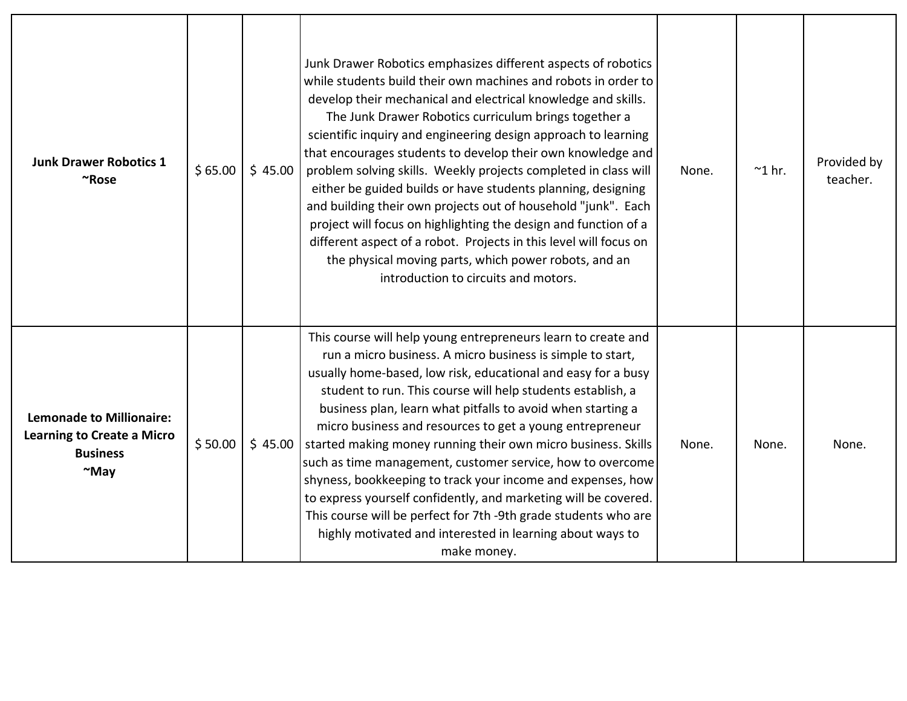| <b>Junk Drawer Robotics 1</b><br>~Rose                                                                 | \$65.00 | \$45.00 | Junk Drawer Robotics emphasizes different aspects of robotics<br>while students build their own machines and robots in order to<br>develop their mechanical and electrical knowledge and skills.<br>The Junk Drawer Robotics curriculum brings together a<br>scientific inquiry and engineering design approach to learning<br>that encourages students to develop their own knowledge and<br>problem solving skills. Weekly projects completed in class will<br>either be guided builds or have students planning, designing<br>and building their own projects out of household "junk". Each<br>project will focus on highlighting the design and function of a<br>different aspect of a robot. Projects in this level will focus on<br>the physical moving parts, which power robots, and an<br>introduction to circuits and motors. | None. | $^{\sim}$ 1 hr. | Provided by<br>teacher. |
|--------------------------------------------------------------------------------------------------------|---------|---------|-----------------------------------------------------------------------------------------------------------------------------------------------------------------------------------------------------------------------------------------------------------------------------------------------------------------------------------------------------------------------------------------------------------------------------------------------------------------------------------------------------------------------------------------------------------------------------------------------------------------------------------------------------------------------------------------------------------------------------------------------------------------------------------------------------------------------------------------|-------|-----------------|-------------------------|
| <b>Lemonade to Millionaire:</b><br><b>Learning to Create a Micro</b><br><b>Business</b><br>$~\sim$ May | \$50.00 | \$45.00 | This course will help young entrepreneurs learn to create and<br>run a micro business. A micro business is simple to start,<br>usually home-based, low risk, educational and easy for a busy<br>student to run. This course will help students establish, a<br>business plan, learn what pitfalls to avoid when starting a<br>micro business and resources to get a young entrepreneur<br>started making money running their own micro business. Skills<br>such as time management, customer service, how to overcome<br>shyness, bookkeeping to track your income and expenses, how<br>to express yourself confidently, and marketing will be covered.<br>This course will be perfect for 7th -9th grade students who are<br>highly motivated and interested in learning about ways to<br>make money.                                  | None. | None.           | None.                   |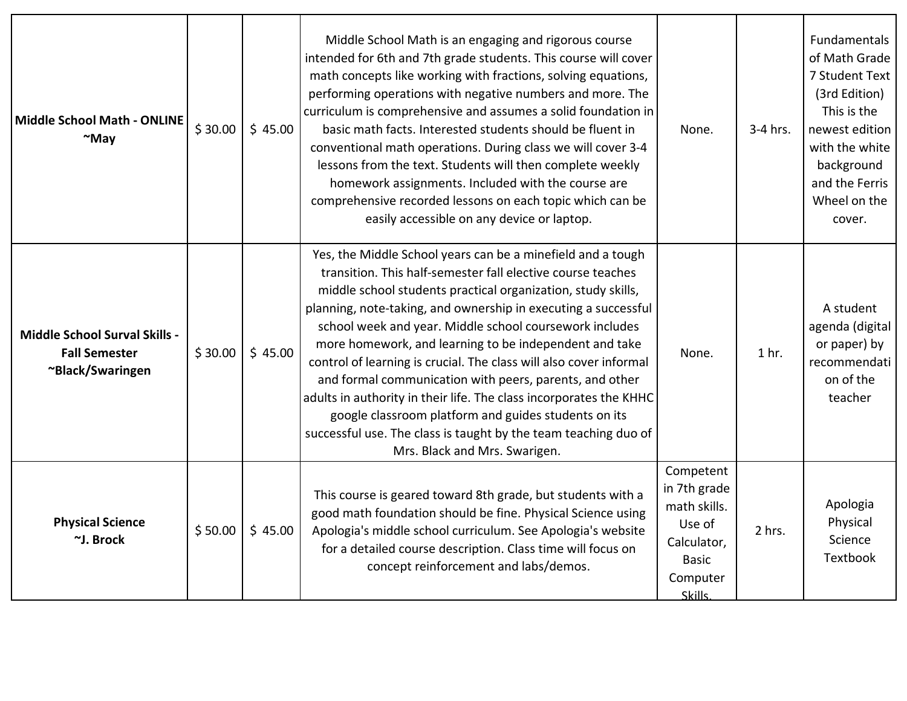| <b>Middle School Math - ONLINE</b><br>$~\sim$ May                                | \$30.00 | \$45.00 | Middle School Math is an engaging and rigorous course<br>intended for 6th and 7th grade students. This course will cover<br>math concepts like working with fractions, solving equations,<br>performing operations with negative numbers and more. The<br>curriculum is comprehensive and assumes a solid foundation in<br>basic math facts. Interested students should be fluent in<br>conventional math operations. During class we will cover 3-4<br>lessons from the text. Students will then complete weekly<br>homework assignments. Included with the course are<br>comprehensive recorded lessons on each topic which can be<br>easily accessible on any device or laptop.                                                                   | None.                                                                                                     | 3-4 hrs.         | Fundamentals<br>of Math Grade<br>7 Student Text<br>(3rd Edition)<br>This is the<br>newest edition<br>with the white<br>background<br>and the Ferris<br>Wheel on the<br>cover. |
|----------------------------------------------------------------------------------|---------|---------|------------------------------------------------------------------------------------------------------------------------------------------------------------------------------------------------------------------------------------------------------------------------------------------------------------------------------------------------------------------------------------------------------------------------------------------------------------------------------------------------------------------------------------------------------------------------------------------------------------------------------------------------------------------------------------------------------------------------------------------------------|-----------------------------------------------------------------------------------------------------------|------------------|-------------------------------------------------------------------------------------------------------------------------------------------------------------------------------|
| <b>Middle School Surval Skills -</b><br><b>Fall Semester</b><br>~Black/Swaringen | \$30.00 | \$45.00 | Yes, the Middle School years can be a minefield and a tough<br>transition. This half-semester fall elective course teaches<br>middle school students practical organization, study skills,<br>planning, note-taking, and ownership in executing a successful<br>school week and year. Middle school coursework includes<br>more homework, and learning to be independent and take<br>control of learning is crucial. The class will also cover informal<br>and formal communication with peers, parents, and other<br>adults in authority in their life. The class incorporates the KHHC<br>google classroom platform and guides students on its<br>successful use. The class is taught by the team teaching duo of<br>Mrs. Black and Mrs. Swarigen. | None.                                                                                                     | 1 <sub>hr.</sub> | A student<br>agenda (digital<br>or paper) by<br>recommendati<br>on of the<br>teacher                                                                                          |
| <b>Physical Science</b><br>~J. Brock                                             | \$50.00 | \$45.00 | This course is geared toward 8th grade, but students with a<br>good math foundation should be fine. Physical Science using<br>Apologia's middle school curriculum. See Apologia's website<br>for a detailed course description. Class time will focus on<br>concept reinforcement and labs/demos.                                                                                                                                                                                                                                                                                                                                                                                                                                                    | Competent<br>in 7th grade<br>math skills.<br>Use of<br>Calculator,<br><b>Basic</b><br>Computer<br>Skills. | 2 hrs.           | Apologia<br>Physical<br>Science<br>Textbook                                                                                                                                   |